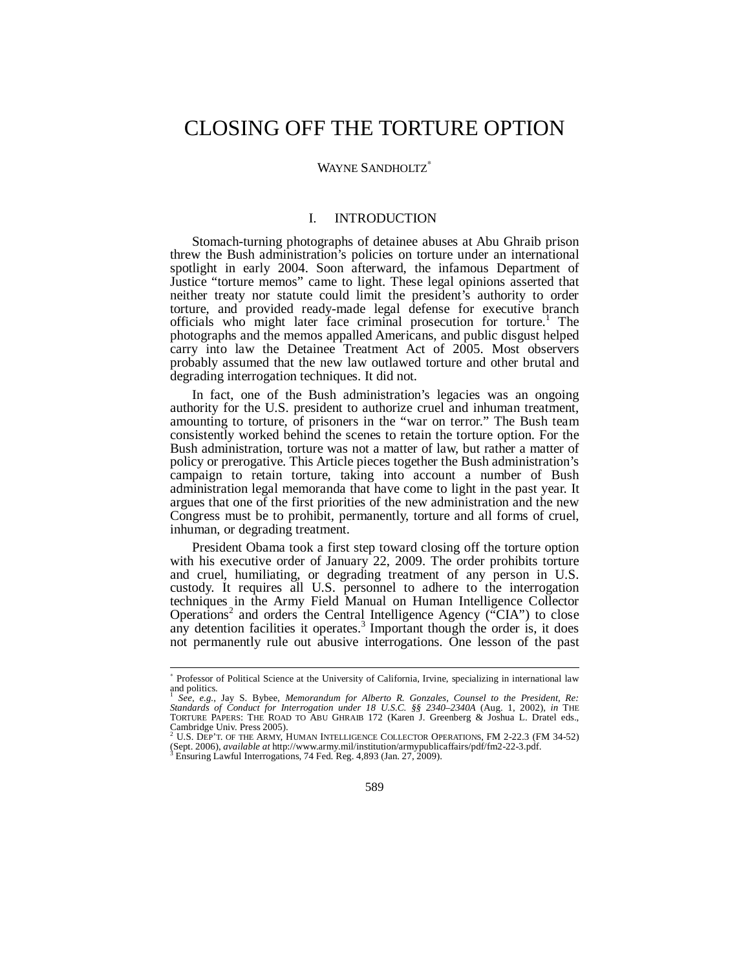# CLOSING OFF THE TORTURE OPTION

## WAYNE SANDHOLTZ<sup>\*</sup>

# I. INTRODUCTION

Stomach-turning photographs of detainee abuses at Abu Ghraib prison threw the Bush administration's policies on torture under an international spotlight in early 2004. Soon afterward, the infamous Department of Justice "torture memos" came to light. These legal opinions asserted that neither treaty nor statute could limit the president's authority to order torture, and provided ready-made legal defense for executive branch officials who might later face criminal prosecution for torture.<sup>1</sup> The photographs and the memos appalled Americans, and public disgust helped carry into law the Detainee Treatment Act of 2005. Most observers probably assumed that the new law outlawed torture and other brutal and degrading interrogation techniques. It did not.

In fact, one of the Bush administration's legacies was an ongoing authority for the U.S. president to authorize cruel and inhuman treatment, amounting to torture, of prisoners in the "war on terror." The Bush team consistently worked behind the scenes to retain the torture option. For the Bush administration, torture was not a matter of law, but rather a matter of policy or prerogative. This Article pieces together the Bush administration's campaign to retain torture, taking into account a number of Bush administration legal memoranda that have come to light in the past year. It argues that one of the first priorities of the new administration and the new Congress must be to prohibit, permanently, torture and all forms of cruel, inhuman, or degrading treatment.

President Obama took a first step toward closing off the torture option with his executive order of January 22, 2009. The order prohibits torture and cruel, humiliating, or degrading treatment of any person in U.S. custody. It requires all U.S. personnel to adhere to the interrogation techniques in the Army Field Manual on Human Intelligence Collector Operations<sup>2</sup> and orders the Central Intelligence Agency ("CIA") to close any detention facilities it operates.<sup>3</sup> Important though the order is, it does not permanently rule out abusive interrogations. One lesson of the past

 ∗ Professor of Political Science at the University of California, Irvine, specializing in international law and politics.

<sup>1</sup> *See, e.g.*, Jay S. Bybee, *Memorandum for Alberto R. Gonzales, Counsel to the President, Re: Standards of Conduct for Interrogation under 18 U.S.C. §§ 2340–2340A* (Aug. 1, 2002), *in* THE TORTURE PAPERS: THE ROAD TO ABU GHRAIB 172 (Karen J. Greenberg & Joshua L. Dratel eds., Cambridge Univ. Press 2005). 2 U.S. DEP'T. OF THE ARMY, HUMAN INTELLIGENCE COLLECTOR OPERATIONS, FM 2-22.3 (FM 34-52)

<sup>(</sup>Sept. 2006), *available at* http://www.army.mil/institution/armypublicaffairs/pdf/fm2-22-3.pdf. 3 Ensuring Lawful Interrogations, 74 Fed. Reg. 4,893 (Jan. 27, 2009).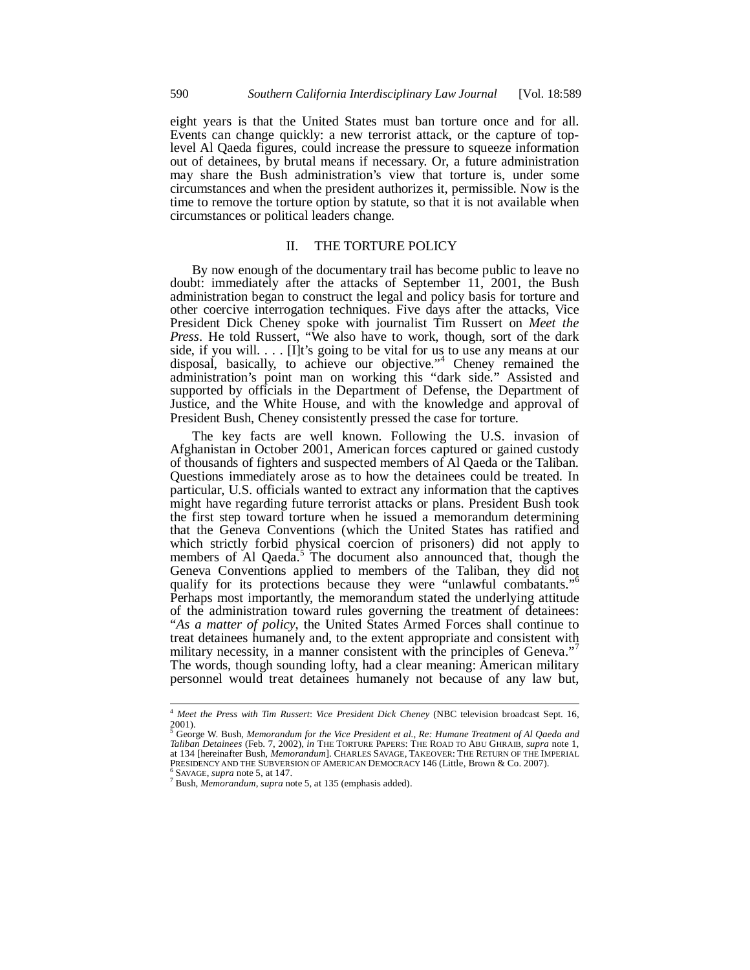eight years is that the United States must ban torture once and for all. Events can change quickly: a new terrorist attack, or the capture of toplevel Al Qaeda figures, could increase the pressure to squeeze information out of detainees, by brutal means if necessary. Or, a future administration may share the Bush administration's view that torture is, under some circumstances and when the president authorizes it, permissible. Now is the time to remove the torture option by statute, so that it is not available when circumstances or political leaders change.

# II. THE TORTURE POLICY

By now enough of the documentary trail has become public to leave no doubt: immediately after the attacks of September 11, 2001, the Bush administration began to construct the legal and policy basis for torture and other coercive interrogation techniques. Five days after the attacks, Vice President Dick Cheney spoke with journalist Tim Russert on *Meet the Press*. He told Russert, "We also have to work, though, sort of the dark side, if you will. . . . [I]t's going to be vital for us to use any means at our disposal, basically, to achieve our objective."<sup>4</sup> Cheney remained the administration's point man on working this "dark side." Assisted and supported by officials in the Department of Defense, the Department of Justice, and the White House, and with the knowledge and approval of President Bush, Cheney consistently pressed the case for torture.

The key facts are well known. Following the U.S. invasion of Afghanistan in October 2001, American forces captured or gained custody of thousands of fighters and suspected members of Al Qaeda or the Taliban. Questions immediately arose as to how the detainees could be treated. In particular, U.S. officials wanted to extract any information that the captives might have regarding future terrorist attacks or plans. President Bush took the first step toward torture when he issued a memorandum determining that the Geneva Conventions (which the United States has ratified and which strictly forbid physical coercion of prisoners) did not apply to members of Al Qaeda.<sup>5</sup> The document also announced that, though the Geneva Conventions applied to members of the Taliban, they did not qualify for its protections because they were "unlawful combatants."<sup>6</sup> Perhaps most importantly, the memorandum stated the underlying attitude of the administration toward rules governing the treatment of detainees: "*As a matter of policy*, the United States Armed Forces shall continue to treat detainees humanely and, to the extent appropriate and consistent with military necessity, in a manner consistent with the principles of Geneva."<sup>7</sup> The words, though sounding lofty, had a clear meaning: American military personnel would treat detainees humanely not because of any law but,

 $\overline{\phantom{a}}$ 

<sup>4</sup> *Meet the Press with Tim Russert*: *Vice President Dick Cheney* (NBC television broadcast Sept. 16,  $^{2001)}_{5}$ 

George W. Bush, *Memorandum for the Vice President et al., Re: Humane Treatment of Al Qaeda and Taliban Detainees* (Feb. 7, 2002), *in* THE TORTURE PAPERS: THE ROAD TO ABU GHRAIB, *supra* note 1, at 134 [hereinafter Bush, *Memorandum*]. CHARLES SAVAGE, TAKEOVER: THE RETURN OF THE IMPERIAL PRESIDENCY AND THE SUBVERSION OF AMERICAN DEMOCRACY 146 (Little, Brown & Co. 2007).

 $<sup>6</sup>$  SAVAGE, *supra* note 5, at 147.</sup>

Bush, *Memorandum*, *supra* note 5, at 135 (emphasis added).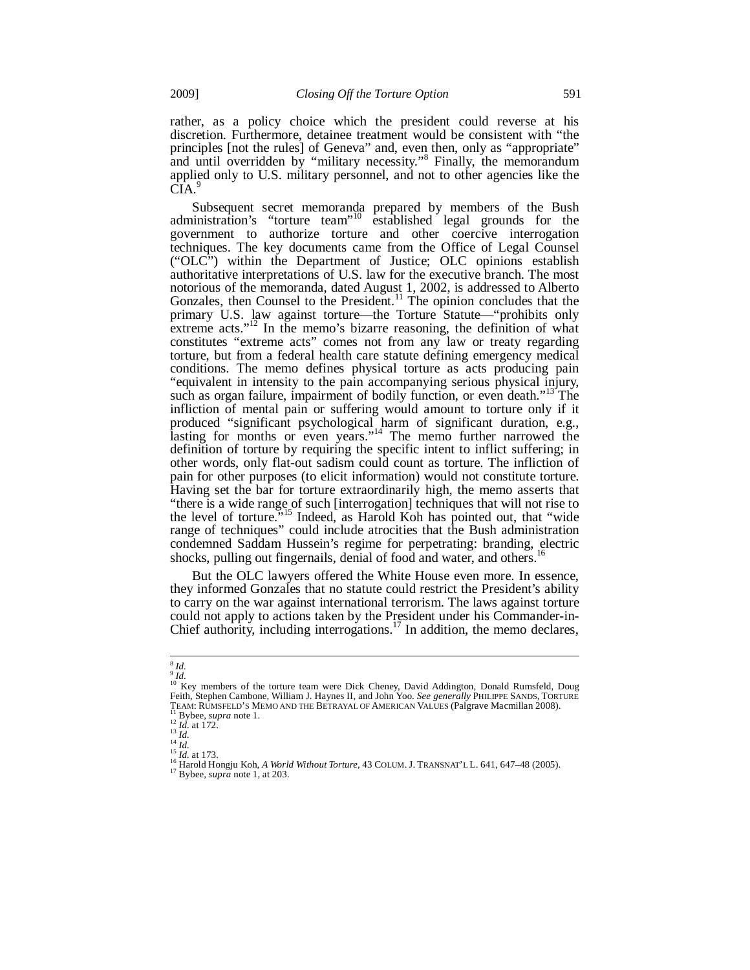rather, as a policy choice which the president could reverse at his discretion. Furthermore, detainee treatment would be consistent with "the principles [not the rules] of Geneva" and, even then, only as "appropriate" and until overridden by "military necessity."<sup>8</sup> Finally, the memorandum applied only to U.S. military personnel, and not to other agencies like the CIA.

Subsequent secret memoranda prepared by members of the Bush administration's "torture team"<sup>10</sup> established legal grounds for the government to authorize torture and other coercive interrogation techniques. The key documents came from the Office of Legal Counsel ("OLC") within the Department of Justice; OLC opinions establish authoritative interpretations of U.S. law for the executive branch. The most notorious of the memoranda, dated August 1, 2002, is addressed to Alberto Gonzales, then Counsel to the President.<sup>11</sup> The opinion concludes that the primary U.S. law against torture—the Torture Statute—"prohibits only extreme acts."<sup>12</sup> In the memo's bizarre reasoning, the definition of what constitutes "extreme acts" comes not from any law or treaty regarding torture, but from a federal health care statute defining emergency medical conditions. The memo defines physical torture as acts producing pain "equivalent in intensity to the pain accompanying serious physical injury, such as organ failure, impairment of bodily function, or even death."<sup>13</sup> The infliction of mental pain or suffering would amount to torture only if it produced "significant psychological harm of significant duration, e.g., lasting for months or even years."<sup>14</sup> The memo further narrowed the definition of torture by requiring the specific intent to inflict suffering; in other words, only flat-out sadism could count as torture. The infliction of pain for other purposes (to elicit information) would not constitute torture. Having set the bar for torture extraordinarily high, the memo asserts that "there is a wide range of such [interrogation] techniques that will not rise to the level of torture."15 Indeed, as Harold Koh has pointed out, that "wide range of techniques" could include atrocities that the Bush administration condemned Saddam Hussein's regime for perpetrating: branding, electric shocks, pulling out fingernails, denial of food and water, and others.<sup>1</sup>

But the OLC lawyers offered the White House even more. In essence, they informed Gonzales that no statute could restrict the President's ability to carry on the war against international terrorism. The laws against torture could not apply to actions taken by the President under his Commander-in-Chief authority, including interrogations.<sup>17</sup> In addition, the memo declares,

 $\overline{a}$  $\frac{8}{9}$  *Id.* 

<sup>&</sup>lt;sup>10</sup> Key members of the torture team were Dick Cheney, David Addington, Donald Rumsfeld, Doug<br>Feith, Stephen Cambone, William J. Haynes II, and John Yoo. *See generally* PHILIPPE SANDS, TORTURE TEAM: RUMSFELD'S MEMO AND THE BETRAYAL OF AMERICAN VALUES (Palgrave Macmillan 2008).<br>
<sup>11</sup> Bybee, *supra* note 1.<br>
<sup>12</sup> Id. at 172.<br>
<sup>12</sup> Id. at 172.<br>
<sup>13</sup> Id.<br>
<sup>14</sup> Id. at 173.<br>
<sup>15</sup> Id. at 173.<br>
<sup>16</sup> Harold Hongju Koh,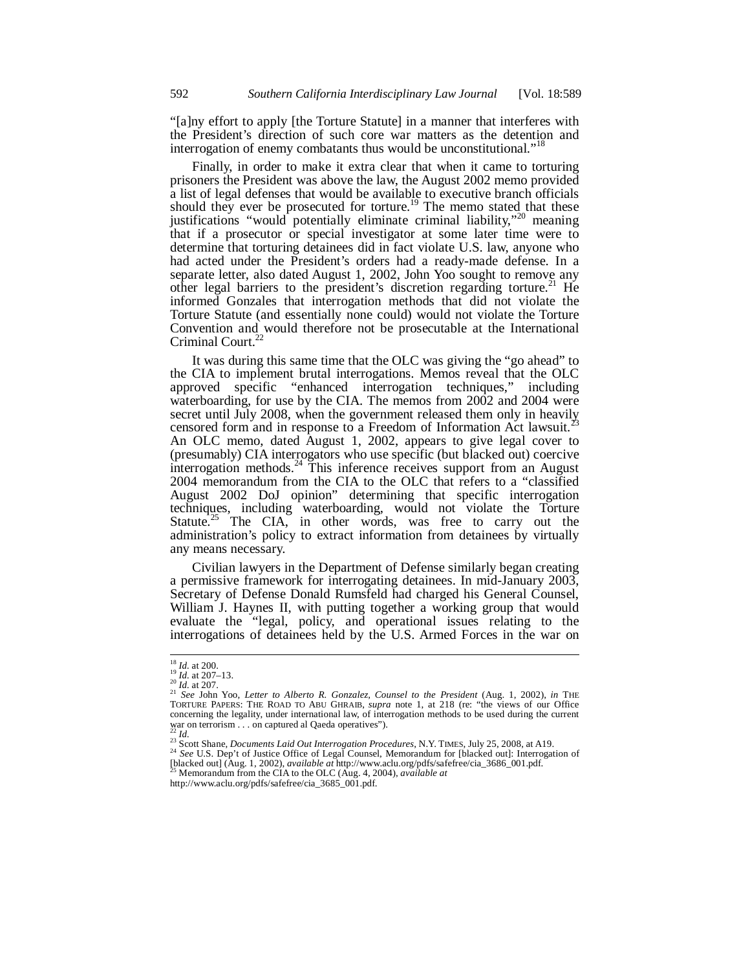"[a]ny effort to apply [the Torture Statute] in a manner that interferes with the President's direction of such core war matters as the detention and interrogation of enemy combatants thus would be unconstitutional."<sup>18</sup>

Finally, in order to make it extra clear that when it came to torturing prisoners the President was above the law, the August 2002 memo provided a list of legal defenses that would be available to executive branch officials should they ever be prosecuted for torture.<sup>19</sup> The memo stated that these justifications "would potentially eliminate criminal liability,"<sup>20</sup> meaning that if a prosecutor or special investigator at some later time were to determine that torturing detainees did in fact violate U.S. law, anyone who had acted under the President's orders had a ready-made defense. In a separate letter, also dated August 1, 2002, John Yoo sought to remove any other legal barriers to the president's discretion regarding torture.<sup>21</sup> He informed Gonzales that interrogation methods that did not violate the Torture Statute (and essentially none could) would not violate the Torture Convention and would therefore not be prosecutable at the International Criminal Court.<sup>22</sup>

It was during this same time that the OLC was giving the "go ahead" to the CIA to implement brutal interrogations. Memos reveal that the OLC approved specific "enhanced interrogation techniques," including waterboarding, for use by the CIA. The memos from 2002 and 2004 were secret until July 2008, when the government released them only in heavily censored form and in response to a Freedom of Information Act lawsuit.<sup>2</sup> An OLC memo, dated August 1, 2002, appears to give legal cover to (presumably) CIA interrogators who use specific (but blacked out) coercive interrogation methods.<sup>24</sup> This inference receives support from an August 2004 memorandum from the CIA to the OLC that refers to a "classified August 2002 DoJ opinion" determining that specific interrogation techniques, including waterboarding, would not violate the Torture Statute.<sup>25</sup> The CIA, in other words, was free to carry out the administration's policy to extract information from detainees by virtually any means necessary.

Civilian lawyers in the Department of Defense similarly began creating a permissive framework for interrogating detainees. In mid-January 2003, Secretary of Defense Donald Rumsfeld had charged his General Counsel, William J. Haynes II, with putting together a working group that would evaluate the "legal, policy, and operational issues relating to the interrogations of detainees held by the U.S. Armed Forces in the war on

<sup>24</sup> See U.S. Dep't of Justice Office of Legal Counsel, Memorandum for [blacked out]: Interrogation of [blacked out] (Aug. 1, 2002), *available at* http://www.aclu.org/pdfs/safefree/cia\_3686\_001.pdf. <sup>25</sup> Memorandum from t

 $\frac{18}{19}$  *Id.* at 200.<br>  $\frac{19}{20}$  *Id.* at 207–13.

<sup>&</sup>lt;sup>21</sup> *See* John Yoo, *Letter to Alberto R. Gonzalez, Counsel to the President* (Aug. 1, 2002), *in* THE TORTURE PAPERS: THE ROAD TO ABU GHRAIB, *supra* note 1, at 218 (re: "the views of our Office concerning the legality, under international law, of interrogation methods to be used during the current war on terrorism . . . on captured al Qaeda operatives").<br><sup>22</sup> Id.<br><sup>23</sup> Scott Shane, *Documents Laid Out Interrogation Procedures*, N.Y. TIMES, July 25, 2008, at A19.<br><sup>24</sup> *See* U.S. Dep't of Justice Office of Legal Counse

http://www.aclu.org/pdfs/safefree/cia\_3685\_001.pdf.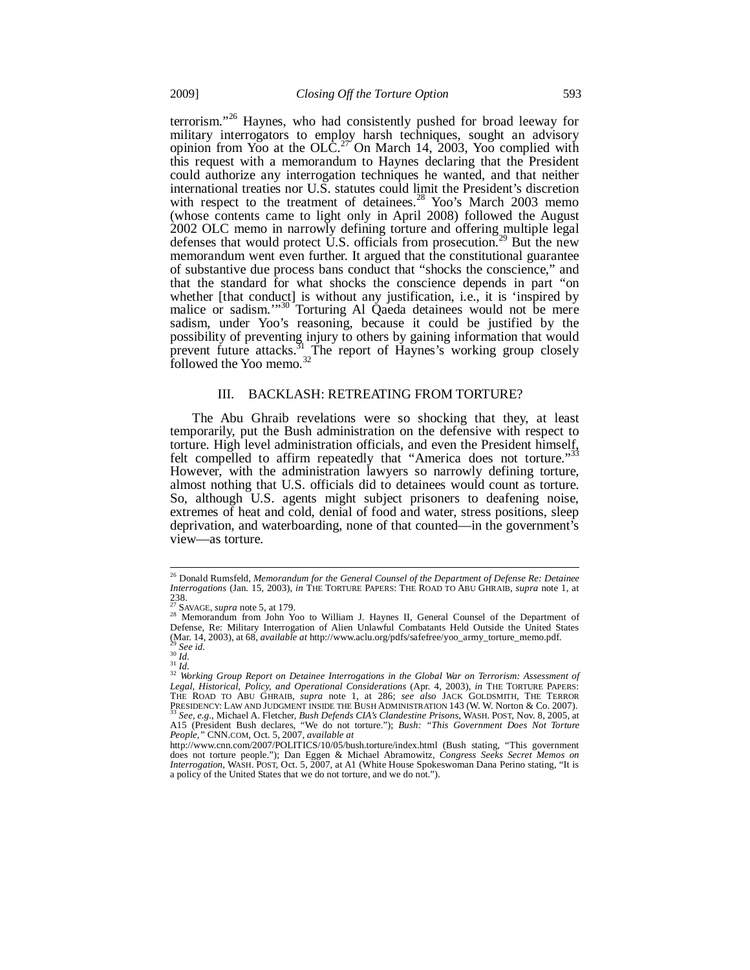terrorism."26 Haynes, who had consistently pushed for broad leeway for military interrogators to employ harsh techniques, sought an advisory opinion from Yoo at the OLC.<sup>27</sup> On March 14, 2003, Yoo complied with this request with a memorandum to Haynes declaring that the President could authorize any interrogation techniques he wanted, and that neither international treaties nor U.S. statutes could limit the President's discretion with respect to the treatment of detainees.<sup>28</sup> Yoo's March 2003 memo (whose contents came to light only in April 2008) followed the August 2002 OLC memo in narrowly defining torture and offering multiple legal defenses that would protect U.S. officials from prosecution.<sup>29</sup> But the new memorandum went even further. It argued that the constitutional guarantee of substantive due process bans conduct that "shocks the conscience," and that the standard for what shocks the conscience depends in part "on whether [that conduct] is without any justification, i.e., it is 'inspired by malice or sadism."<sup>30</sup> Torturing Al Qaeda detainees would not be mere sadism, under Yoo's reasoning, because it could be justified by the possibility of preventing injury to others by gaining information that would prevent future attacks.<sup>31</sup> The report of Haynes's working group closely followed the Yoo memo.<sup>32</sup>

#### III. BACKLASH: RETREATING FROM TORTURE?

The Abu Ghraib revelations were so shocking that they, at least temporarily, put the Bush administration on the defensive with respect to torture. High level administration officials, and even the President himself, felt compelled to affirm repeatedly that "America does not torture."<sup>33</sup> However, with the administration lawyers so narrowly defining torture, almost nothing that U.S. officials did to detainees would count as torture. So, although U.S. agents might subject prisoners to deafening noise, extremes of heat and cold, denial of food and water, stress positions, sleep deprivation, and waterboarding, none of that counted—in the government's view—as torture.

 $\overline{a}$ 26 Donald Rumsfeld, *Memorandum for the General Counsel of the Department of Defense Re: Detainee Interrogations* (Jan. 15, 2003), *in* THE TORTURE PAPERS: THE ROAD TO ABU GHRAIB, *supra* note 1, at 238.<br><sup>27</sup> SAVAGE, *supra* note 5, at 179.<br><sup>28</sup> Memorandum from John Yoo to William J. Haynes II, General Counsel of the Department of

Defense, Re: Military Interrogation of Alien Unlawful Combatants Held Outside the United States (Mar. 14, 2003), at 68, *available at* http://www.aclu.org/pdfs/safefree/yoo\_army\_torture\_memo.pdf.<br><sup>29</sup> *See id.*<br>30 *Id.*<br><sup>31</sup> *Id.*<br><sup>32</sup> Working Group Report on Detainee Interrogations in the Global War on Terrorism: As

Legal, Historical, Policy, and Operational Considerations (Apr. 4, 2003), in THE TORTURE PAPERS: To a secure the construction of the construction of the Construction of the TORTURE PAPERS:<br>*Legal, Historical, Policy, and Operational Considerations* (Apr. 4, 2003), in THE TORTURE PAPERS:<br>THE ROAD TO ABU GHRAIB, *supra* PRESIDENCY: LAW AND JUDGMENT INSIDE THE BUSH ADMINISTRATION 143 (W. W. Norton & Co. 2007). A15 (President Bush declares, "We do not torture."); *Bush: "This Government Does Not Torture People*,*"* CNN.COM, Oct. 5, 2007, *available at*

http://www.cnn.com/2007/POLITICS/10/05/bush.torture/index.html (Bush stating, "This government does not torture people."); Dan Eggen & Michael Abramowitz, *Congress Seeks Secret Memos on Interrogation*, WASH. POST, Oct. 5, 2007, at A1 (White House Spokeswoman Dana Perino stating, "It is a policy of the United States that we do not torture, and we do not.").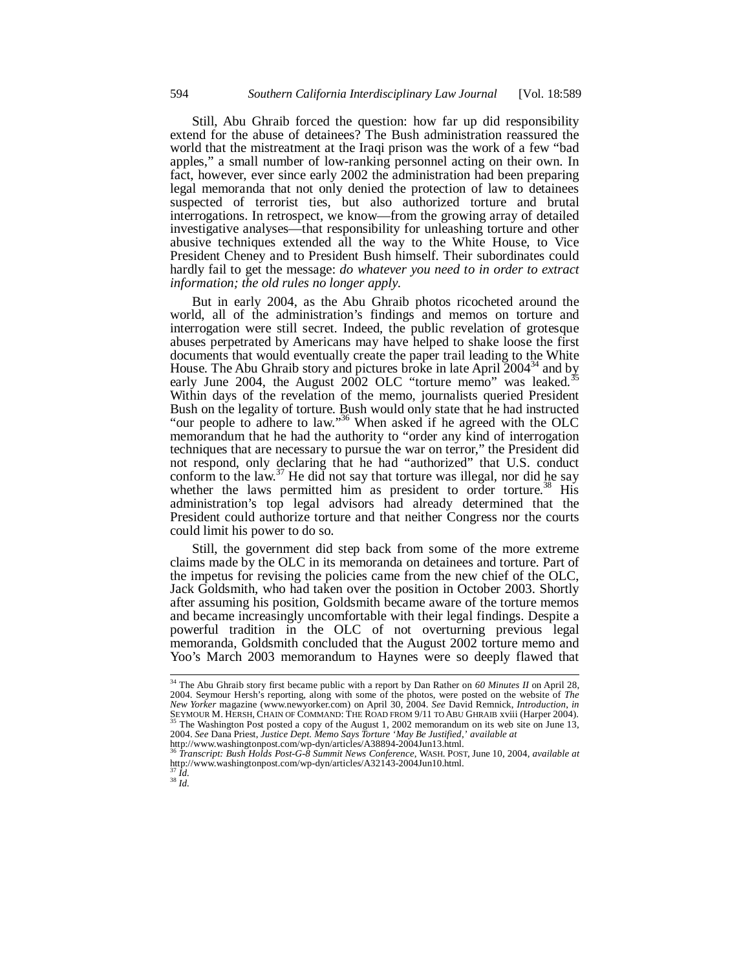Still, Abu Ghraib forced the question: how far up did responsibility extend for the abuse of detainees? The Bush administration reassured the world that the mistreatment at the Iraqi prison was the work of a few "bad apples," a small number of low-ranking personnel acting on their own. In fact, however, ever since early 2002 the administration had been preparing legal memoranda that not only denied the protection of law to detainees suspected of terrorist ties, but also authorized torture and brutal interrogations. In retrospect, we know—from the growing array of detailed investigative analyses—that responsibility for unleashing torture and other abusive techniques extended all the way to the White House, to Vice President Cheney and to President Bush himself. Their subordinates could hardly fail to get the message: *do whatever you need to in order to extract information; the old rules no longer apply*.

But in early 2004, as the Abu Ghraib photos ricocheted around the world, all of the administration's findings and memos on torture and interrogation were still secret. Indeed, the public revelation of grotesque abuses perpetrated by Americans may have helped to shake loose the first documents that would eventually create the paper trail leading to the White House. The Abu Ghraib story and pictures broke in late April 2004<sup>34</sup> and by early June 2004, the August 2002 OLC "torture memo" was leaked.<sup>3</sup> Within days of the revelation of the memo, journalists queried President Bush on the legality of torture. Bush would only state that he had instructed "our people to adhere to law."<sup>36</sup> When asked if he agreed with the OLC memorandum that he had the authority to "order any kind of interrogation techniques that are necessary to pursue the war on terror," the President did not respond, only declaring that he had "authorized" that U.S. conduct conform to the law.<sup>37</sup> He did not say that torture was illegal, nor did he say whether the laws permitted him as president to order torture.<sup>38</sup> His administration's top legal advisors had already determined that the President could authorize torture and that neither Congress nor the courts could limit his power to do so.

Still, the government did step back from some of the more extreme claims made by the OLC in its memoranda on detainees and torture. Part of the impetus for revising the policies came from the new chief of the OLC, Jack Goldsmith, who had taken over the position in October 2003. Shortly after assuming his position, Goldsmith became aware of the torture memos and became increasingly uncomfortable with their legal findings. Despite a powerful tradition in the OLC of not overturning previous legal memoranda, Goldsmith concluded that the August 2002 torture memo and Yoo's March 2003 memorandum to Haynes were so deeply flawed that

 $38 \overline{Id}$ .

 $\overline{a}$ 

<sup>34</sup> The Abu Ghraib story first became public with a report by Dan Rather on *60 Minutes II* on April 28, 2004. Seymour Hersh's reporting, along with some of the photos, were posted on the website of *The New Yorker* magazine (www.newyorker.com) on April 30, 2004. See David Remnick, *Introduction*, in SEYMOUR M. HERSH, CHAIN OF COMMAND: THE ROAD FROM 9/11 TO ABU GHRAIB xviii (Harper 2004).<br><sup>35</sup> The Washington Post posted a copy of the August 1, 2002 memorandum on its web site on June 13, 2004. *See* Dana Priest, *Justice Dept. Memo Says Torture 'May Be Justified*,*' available at*  http://www.washingtonpost.com/wp-dyn/articles/A38894-2004Jun13.html.

<sup>36</sup> *Transcript: Bush Holds Post-G-8 Summit News Conference*, WASH. POST, June 10, 2004, *available at*   $h_{\text{tr}}$ .  $\frac{1}{20}$  .  $\frac{1}{20}$  .  $\frac{1}{20}$  .  $\frac{1}{20}$  .  $\frac{1}{20}$  .  $\frac{1}{20}$  .  $\frac{1}{20}$  .  $\frac{1}{20}$  .  $\frac{1}{20}$  .  $\frac{1}{20}$  .  $\frac{1}{20}$  .  $\frac{1}{20}$  .  $\frac{1}{20}$  .  $\frac{1}{20}$  .  $\frac{1}{20}$  .  $\frac{1}{20}$  .  $\$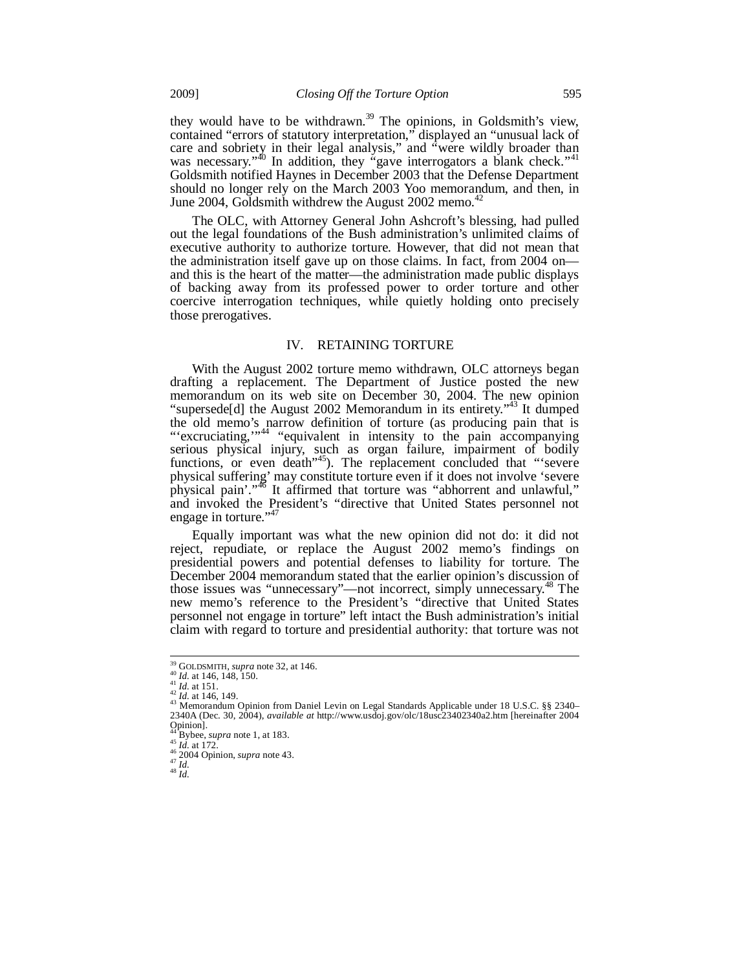they would have to be withdrawn.<sup>39</sup> The opinions, in Goldsmith's view, contained "errors of statutory interpretation," displayed an "unusual lack of care and sobriety in their legal analysis," and "were wildly broader than was necessary."<sup>40</sup> In addition, they "gave interrogators a blank check."<sup>41</sup> Goldsmith notified Haynes in December 2003 that the Defense Department should no longer rely on the March 2003 Yoo memorandum, and then, in June 2004, Goldsmith withdrew the August 2002 memo. $42$ 

The OLC, with Attorney General John Ashcroft's blessing, had pulled out the legal foundations of the Bush administration's unlimited claims of executive authority to authorize torture. However, that did not mean that the administration itself gave up on those claims. In fact, from 2004 on and this is the heart of the matter—the administration made public displays of backing away from its professed power to order torture and other coercive interrogation techniques, while quietly holding onto precisely those prerogatives.

### IV. RETAINING TORTURE

With the August 2002 torture memo withdrawn, OLC attorneys began drafting a replacement. The Department of Justice posted the new memorandum on its web site on December 30, 2004. The new opinion "supersede[d] the August 2002 Memorandum in its entirety."<sup>43</sup> It dumped the old memo's narrow definition of torture (as producing pain that is "'excruciating,"<sup>44</sup> "equivalent in intensity to the pain accompanying serious physical injury, such as organ failure, impairment of bodily functions, or even death"<sup>45</sup>). The replacement concluded that "'severe physical suffering' may constitute torture even if it does not involve 'severe physical pain'."<sup>46</sup> It affirmed that torture was "abhorrent and unlawful," and invoked the President's "directive that United States personnel not engage in torture."<sup>47</sup>

Equally important was what the new opinion did not do: it did not reject, repudiate, or replace the August 2002 memo's findings on presidential powers and potential defenses to liability for torture. The December 2004 memorandum stated that the earlier opinion's discussion of those issues was "unnecessary"—not incorrect, simply unnecessary.<sup>48</sup> The new memo's reference to the President's "directive that United States personnel not engage in torture" left intact the Bush administration's initial claim with regard to torture and presidential authority: that torture was not

<sup>&</sup>lt;sup>39</sup> GOLDSMITH, *supra* note 32, at 146.

<sup>39</sup> GOLDSMITH, *supra* note 32, at 146.<br>
41 *Id.* at 146, 148, 150.<br>
<sup>42</sup> *Id.* at 146, 149.<br>
<sup>42</sup> *Id.* at 146, 149.<br>
<sup>43</sup> Memorandum Opinion from Daniel Levin on Legal Standards Applicable under 18 U.S.C. §§ 2340– 2340A (Dec. 30, 2004), *available at* http://www.usdoj.gov/olc/18usc23402340a2.htm [hereinafter 2004 Opinion].<br><sup>44</sup> Bybee, *supra* note 1, at 183.

<sup>45</sup> *Id.* at 172.<br>
<sup>46</sup> *z*004 Opinion, *supra* note 43.<br>
<sup>47</sup> *Id.* 48 *Id*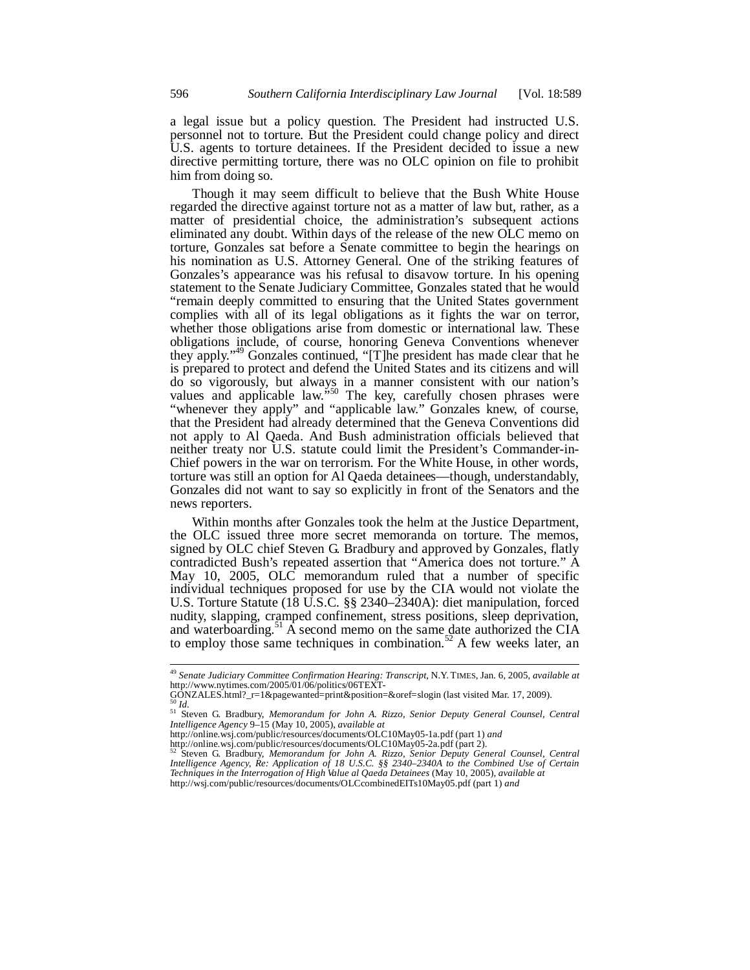a legal issue but a policy question. The President had instructed U.S. personnel not to torture. But the President could change policy and direct U.S. agents to torture detainees. If the President decided to issue a new directive permitting torture, there was no OLC opinion on file to prohibit him from doing so.

Though it may seem difficult to believe that the Bush White House regarded the directive against torture not as a matter of law but, rather, as a matter of presidential choice, the administration's subsequent actions eliminated any doubt. Within days of the release of the new OLC memo on torture, Gonzales sat before a Senate committee to begin the hearings on his nomination as U.S. Attorney General. One of the striking features of Gonzales's appearance was his refusal to disavow torture. In his opening statement to the Senate Judiciary Committee, Gonzales stated that he would "remain deeply committed to ensuring that the United States government complies with all of its legal obligations as it fights the war on terror, whether those obligations arise from domestic or international law. These obligations include, of course, honoring Geneva Conventions whenever they apply."<sup>49</sup> Gonzales continued, "[T]he president has made clear that he is prepared to protect and defend the United States and its citizens and will do so vigorously, but always in a manner consistent with our nation's values and applicable law.<sup>550</sup> The key, carefully chosen phrases were "whenever they apply" and "applicable law." Gonzales knew, of course, that the President had already determined that the Geneva Conventions did not apply to Al Qaeda. And Bush administration officials believed that neither treaty nor U.S. statute could limit the President's Commander-in-Chief powers in the war on terrorism. For the White House, in other words, torture was still an option for Al Qaeda detainees—though, understandably, Gonzales did not want to say so explicitly in front of the Senators and the news reporters.

Within months after Gonzales took the helm at the Justice Department, the OLC issued three more secret memoranda on torture. The memos, signed by OLC chief Steven G. Bradbury and approved by Gonzales, flatly contradicted Bush's repeated assertion that "America does not torture." A May 10, 2005, OLC memorandum ruled that a number of specific individual techniques proposed for use by the CIA would not violate the U.S. Torture Statute (18 U.S.C. §§ 2340–2340A): diet manipulation, forced nudity, slapping, cramped confinement, stress positions, sleep deprivation, and waterboarding.<sup>51</sup>  $\vec{A}$  second memo on the same date authorized the CIA to employ those same techniques in combination.<sup>52</sup> A few weeks later, an

j

<sup>49</sup> *Senate Judiciary Committee Confirmation Hearing: Transcript*, N.Y. TIMES, Jan. 6, 2005, *available at* http://www.nytimes.com/2005/01/06/politics/06TEXT-<br>GONZALES.html?\_r=1&pagewanted=print&position=&oref=slogin (last visited Mar. 17, 2009).

GONZALES.html?\_r=1&pagewanted=print&position=&oref=slogin (last visited Mar. 17, 2009). 50 *Id.* 51 Steven G. Bradbury, *Memorandum for John A. Rizzo, Senior Deputy General Counsel, Central Intelligence Agency* 9–15 (May 10, 2005), *available at* 

http://online.wsj.com/public/resources/documents/OLC10May05-1a.pdf (part 1) *and* http://online.wsj.com/public/resources/documents/OLC10May05-2a.pdf (part 2).

<sup>52</sup> Steven G. Bradbury, *Memorandum for John A. Rizzo, Senior Deputy General Counsel, Central Intelligence Agency, Re: Application of 18 U.S.C. §§ 2340–2340A to the Combined Use of Certain Techniques in the Interrogation of High Value al Qaeda Detainees* (May 10, 2005), *available at* 

http://wsj.com/public/resources/documents/OLCcombinedEITs10May05.pdf (part 1) *and*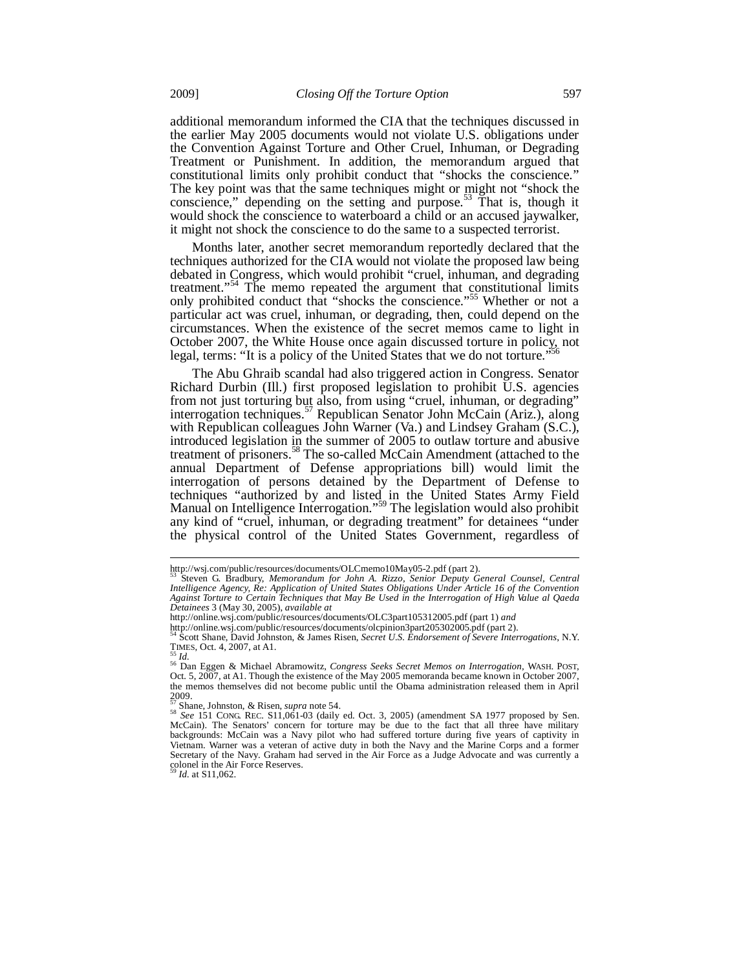additional memorandum informed the CIA that the techniques discussed in the earlier May 2005 documents would not violate U.S. obligations under the Convention Against Torture and Other Cruel, Inhuman, or Degrading Treatment or Punishment. In addition, the memorandum argued that constitutional limits only prohibit conduct that "shocks the conscience." The key point was that the same techniques might or might not "shock the conscience," depending on the setting and purpose.<sup>53</sup> That is, though it would shock the conscience to waterboard a child or an accused jaywalker, it might not shock the conscience to do the same to a suspected terrorist.

Months later, another secret memorandum reportedly declared that the techniques authorized for the CIA would not violate the proposed law being debated in Congress, which would prohibit "cruel, inhuman, and degrading treatment."<sup>54</sup> The memo repeated the argument that constitutional limits only prohibited conduct that "shocks the conscience."<sup>55</sup> Whether or not a particular act was cruel, inhuman, or degrading, then, could depend on the circumstances. When the existence of the secret memos came to light in October 2007, the White House once again discussed torture in policy, not legal, terms: "It is a policy of the United States that we do not torture."

The Abu Ghraib scandal had also triggered action in Congress. Senator Richard Durbin (Ill.) first proposed legislation to prohibit U.S. agencies from not just torturing but also, from using "cruel, inhuman, or degrading" interrogation techniques.<sup>57</sup> Republican Senator John McCain (Ariz.), along with Republican colleagues John Warner (Va.) and Lindsey Graham (S.C.), introduced legislation in the summer of 2005 to outlaw torture and abusive treatment of prisoners.<sup>58</sup> The so-called McCain Amendment (attached to the annual Department of Defense appropriations bill) would limit the interrogation of persons detained by the Department of Defense to techniques "authorized by and listed in the United States Army Field Manual on Intelligence Interrogation."<sup>59</sup> The legislation would also prohibit any kind of "cruel, inhuman, or degrading treatment" for detainees "under the physical control of the United States Government, regardless of

-

*Id.* at S11,062.

http://wsj.com/public/resources/documents/OLCmemo10May05-2.pdf (part 2).

<sup>53</sup> Steven G. Bradbury, *Memorandum for John A. Rizzo, Senior Deputy General Counsel, Central Intelligence Agency, Re: Application of United States Obligations Under Article 16 of the Convention Against Torture to Certain Techniques that May Be Used in the Interrogation of High Value al Qaeda Detainees* 3 (May 30, 2005), *available at*

http://online.wsj.com/public/resources/documents/OLC3part105312005.pdf (part 1) *and*

http://online.wsj.com/public/resources/documents/olcpinion3part205302005.pdf (part 2). 54 Scott Shane, David Johnston, & James Risen, *Secret U.S. Endorsement of Severe Interrogations*, N.Y.

TIMES, Oct. 4, 2007, at A1.<br>
<sup>55</sup> Dan Eggen & Michael Abramowitz, *Congress Seeks Secret Memos on Interrogation*, WASH. POST,<br>
Oct. 5, 2007, at A1. Though the existence of the May 2005 memoranda became known in October 20 the memos themselves did not become public until the Obama administration released them in April  $2009.$ 

<sup>&</sup>lt;sup>57</sup> Shane, Johnston, & Risen, *supra* note 54.<br><sup>58</sup> See 151 CONG. REC. S11,061-03 (daily ed. Oct. 3, 2005) (amendment SA 1977 proposed by Sen.<br>McCain). The Senators' concern for torture may be due to the fact that all thr backgrounds: McCain was a Navy pilot who had suffered torture during five years of captivity in Vietnam. Warner was a veteran of active duty in both the Navy and the Marine Corps and a former Secretary of the Navy. Graham had served in the Air Force as a Judge Advocate and was currently a colonel in the Air Force Reserves.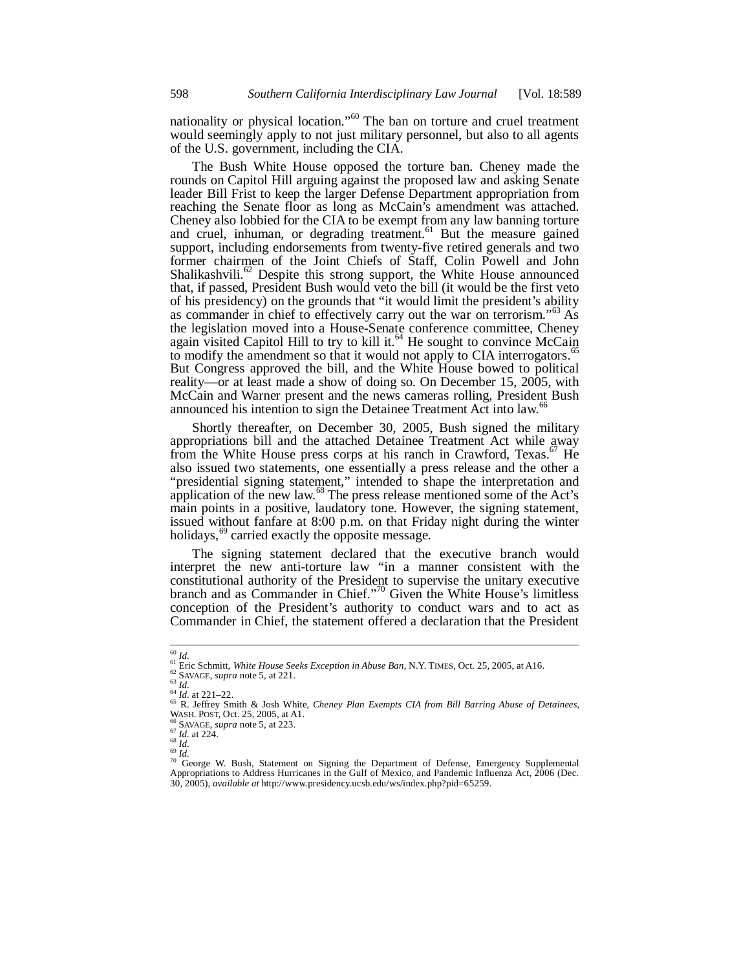nationality or physical location."<sup>60</sup> The ban on torture and cruel treatment would seemingly apply to not just military personnel, but also to all agents of the U.S. government, including the CIA.

The Bush White House opposed the torture ban. Cheney made the rounds on Capitol Hill arguing against the proposed law and asking Senate leader Bill Frist to keep the larger Defense Department appropriation from reaching the Senate floor as long as McCain's amendment was attached. Cheney also lobbied for the CIA to be exempt from any law banning torture and cruel, inhuman, or degrading treatment.<sup>61</sup> But the measure gained support, including endorsements from twenty-five retired generals and two former chairmen of the Joint Chiefs of Staff, Colin Powell and John Shalikashvili.<sup>62</sup> Despite this strong support, the White House announced that, if passed, President Bush would veto the bill (it would be the first veto of his presidency) on the grounds that "it would limit the president's ability as commander in chief to effectively carry out the war on terrorism."<sup>63</sup> As the legislation moved into a House-Senate conference committee, Cheney again visited Capitol Hill to try to kill it.<sup>64</sup> He sought to convince McCain to modify the amendment so that it would not apply to CIA interrogators.<sup>6</sup> But Congress approved the bill, and the White House bowed to political reality—or at least made a show of doing so. On December 15, 2005, with McCain and Warner present and the news cameras rolling, President Bush announced his intention to sign the Detainee Treatment Act into law. $\alpha$ <sup>oc</sup>

Shortly thereafter, on December 30, 2005, Bush signed the military appropriations bill and the attached Detainee Treatment Act while away from the White House press corps at his ranch in Crawford, Texas.<sup>67</sup> He also issued two statements, one essentially a press release and the other a "presidential signing statement," intended to shape the interpretation and application of the new law.<sup>68</sup> The press release mentioned some of the Act's main points in a positive, laudatory tone. However, the signing statement, issued without fanfare at 8:00 p.m. on that Friday night during the winter holidays,<sup>69</sup> carried exactly the opposite message.

The signing statement declared that the executive branch would interpret the new anti-torture law "in a manner consistent with the constitutional authority of the President to supervise the unitary executive branch and as Commander in Chief."70 Given the White House's limitless conception of the President's authority to conduct wars and to act as Commander in Chief, the statement offered a declaration that the President

 $60$   $Id.$ 

<sup>&</sup>lt;sup>61</sup> Eric Schmitt, *White House Seeks Exception in Abuse Ban*, N.Y. TIMES, Oct. 25, 2005, at A16.<br><sup>62</sup> SAVAGE, *supra* note 5, at 221.<br><sup>63</sup> Id. at 221–22.<br><sup>64</sup> Id. at 221–22.<br><sup>65</sup> R. Jeffrey Smith & Josh White, *Cheney Pl* 

WASH. POST, Oct. 25, 2005, at A1.<br>
<sup>67</sup> SAVAGE, *supra* note 5, at 223.<br>
<sup>67</sup> Id. at 224.<br>
<sup>68</sup> Id.<br>
<sup>70</sup> George W. Bush, Statement on Signing the Department of Defense, Emergency Supplemental<br>
<sup>70</sup> George W. Bush, Statem 30, 2005), *available at* http://www.presidency.ucsb.edu/ws/index.php?pid=65259.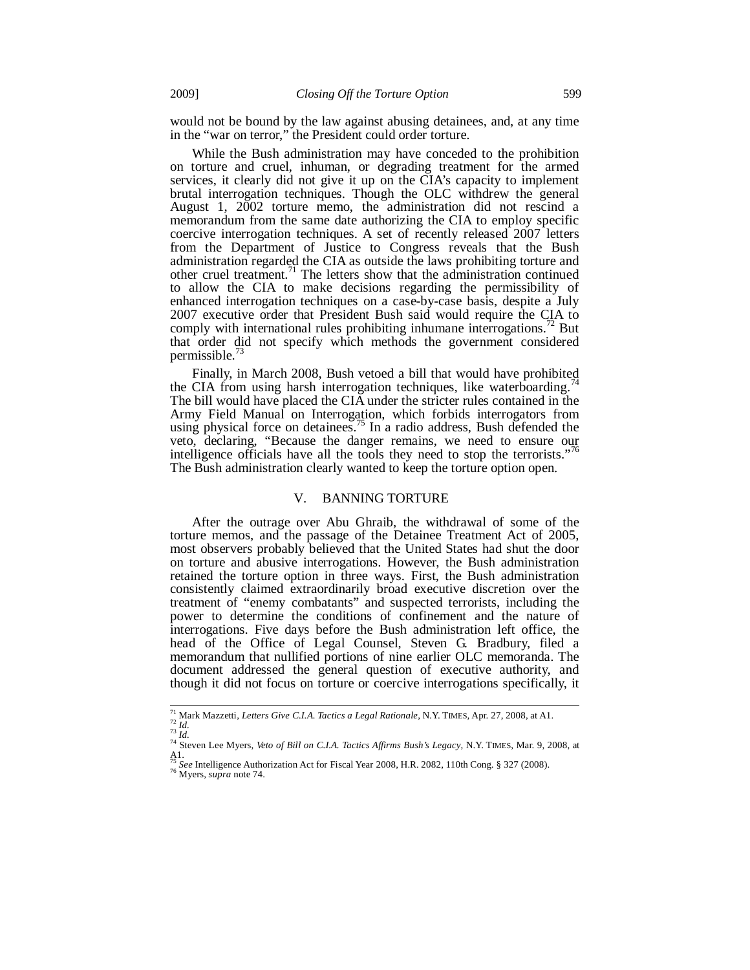would not be bound by the law against abusing detainees, and, at any time in the "war on terror," the President could order torture.

While the Bush administration may have conceded to the prohibition on torture and cruel, inhuman, or degrading treatment for the armed services, it clearly did not give it up on the CIA's capacity to implement brutal interrogation techniques. Though the OLC withdrew the general August 1, 2002 torture memo, the administration did not rescind a memorandum from the same date authorizing the CIA to employ specific coercive interrogation techniques. A set of recently released 2007 letters from the Department of Justice to Congress reveals that the Bush administration regarded the CIA as outside the laws prohibiting torture and other cruel treatment.<sup>71</sup> The letters show that the administration continued to allow the CIA to make decisions regarding the permissibility of enhanced interrogation techniques on a case-by-case basis, despite a July 2007 executive order that President Bush said would require the CIA to comply with international rules prohibiting inhumane interrogations.<sup>72</sup> But that order did not specify which methods the government considered permissible.<sup>7</sup>

Finally, in March 2008, Bush vetoed a bill that would have prohibited the CIA from using harsh interrogation techniques, like waterboarding. The bill would have placed the CIA under the stricter rules contained in the Army Field Manual on Interrogation, which forbids interrogators from using physical force on detainees.<sup>15</sup> In a radio address, Bush defended the veto, declaring, "Because the danger remains, we need to ensure our intelligence officials have all the tools they need to stop the terrorists."<sup>76</sup> The Bush administration clearly wanted to keep the torture option open.

## V. BANNING TORTURE

After the outrage over Abu Ghraib, the withdrawal of some of the torture memos, and the passage of the Detainee Treatment Act of 2005, most observers probably believed that the United States had shut the door on torture and abusive interrogations. However, the Bush administration retained the torture option in three ways. First, the Bush administration consistently claimed extraordinarily broad executive discretion over the treatment of "enemy combatants" and suspected terrorists, including the power to determine the conditions of confinement and the nature of interrogations. Five days before the Bush administration left office, the head of the Office of Legal Counsel, Steven G. Bradbury, filed a memorandum that nullified portions of nine earlier OLC memoranda. The document addressed the general question of executive authority, and though it did not focus on torture or coercive interrogations specifically, it

-

<sup>&</sup>lt;sup>71</sup> Mark Mazzetti, *Letters Give C.I.A. Tactics a Legal Rationale*, N.Y. TIMES, Apr. 27, 2008, at A1.<br><sup>72</sup> Id.<br><sup>73</sup> Id.<br><sup>74</sup> Steven Lee Myers, *Veto of Bill on C.I.A. Tactics Affirms Bush's Legacy*, N.Y. TIMES, Mar. 9, 20

<sup>&</sup>lt;sup>74</sup> Steven Lee Myers, Veto of Bill on C.I.A. Tactics Affirms Bush's Legacy, N.Y. TIMES, Mar. 9, 2008, at

<sup>75</sup> *See* Intelligence Authorization Act for Fiscal Year 2008, H.R. 2082, 110th Cong. § 327 (2008). 76 Myers, *supra* note 74.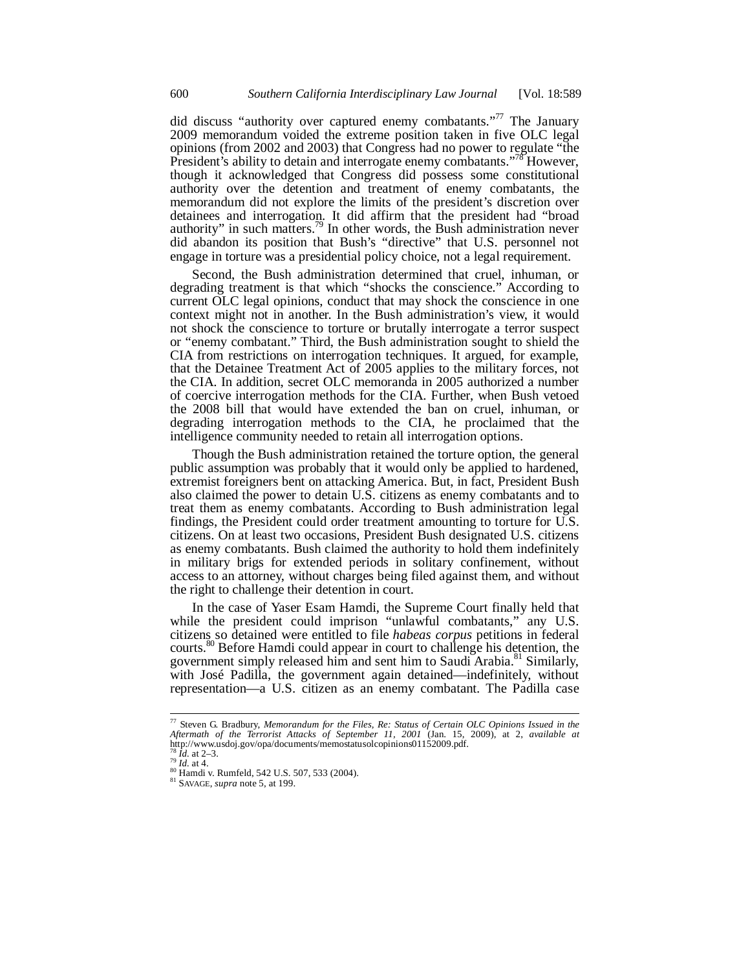did discuss "authority over captured enemy combatants."<sup>77</sup> The January 2009 memorandum voided the extreme position taken in five OLC legal opinions (from 2002 and 2003) that Congress had no power to regulate "the President's ability to detain and interrogate enemy combatants."<sup>78</sup> However, though it acknowledged that Congress did possess some constitutional authority over the detention and treatment of enemy combatants, the memorandum did not explore the limits of the president's discretion over detainees and interrogation. It did affirm that the president had "broad authority" in such matters.<sup>79</sup> In other words, the Bush administration never did abandon its position that Bush's "directive" that U.S. personnel not engage in torture was a presidential policy choice, not a legal requirement.

Second, the Bush administration determined that cruel, inhuman, or degrading treatment is that which "shocks the conscience." According to current OLC legal opinions, conduct that may shock the conscience in one context might not in another. In the Bush administration's view, it would not shock the conscience to torture or brutally interrogate a terror suspect or "enemy combatant." Third, the Bush administration sought to shield the CIA from restrictions on interrogation techniques. It argued, for example, that the Detainee Treatment Act of 2005 applies to the military forces, not the CIA. In addition, secret OLC memoranda in 2005 authorized a number of coercive interrogation methods for the CIA. Further, when Bush vetoed the 2008 bill that would have extended the ban on cruel, inhuman, or degrading interrogation methods to the CIA, he proclaimed that the intelligence community needed to retain all interrogation options.

Though the Bush administration retained the torture option, the general public assumption was probably that it would only be applied to hardened, extremist foreigners bent on attacking America. But, in fact, President Bush also claimed the power to detain U.S. citizens as enemy combatants and to treat them as enemy combatants. According to Bush administration legal findings, the President could order treatment amounting to torture for U.S. citizens. On at least two occasions, President Bush designated U.S. citizens as enemy combatants. Bush claimed the authority to hold them indefinitely in military brigs for extended periods in solitary confinement, without access to an attorney, without charges being filed against them, and without the right to challenge their detention in court.

In the case of Yaser Esam Hamdi, the Supreme Court finally held that while the president could imprison "unlawful combatants," any U.S. citizens so detained were entitled to file *habeas corpus* petitions in federal courts.<sup>80</sup> Before Hamdi could appear in court to challenge his detention, the government simply released him and sent him to Saudi Arabia.<sup>81</sup> Similarly, with José Padilla, the government again detained—indefinitely, without representation—a U.S. citizen as an enemy combatant. The Padilla case

-

<sup>77</sup> Steven G. Bradbury, *Memorandum for the Files, Re: Status of Certain OLC Opinions Issued in the Aftermath of the Terrorist Attacks of September 11, 2001* (Jan. 15, 2009), at 2, *available at* http://www.usdoj.gov/opa/documents/memostatusolcopinions01152009.pdf.

<sup>78</sup> *Id.* at 2–3. 79 *Id.* at 4. 80 Hamdi v. Rumfeld, 542 U.S. 507, 533 (2004). 81 SAVAGE, *supra* note 5, at 199.